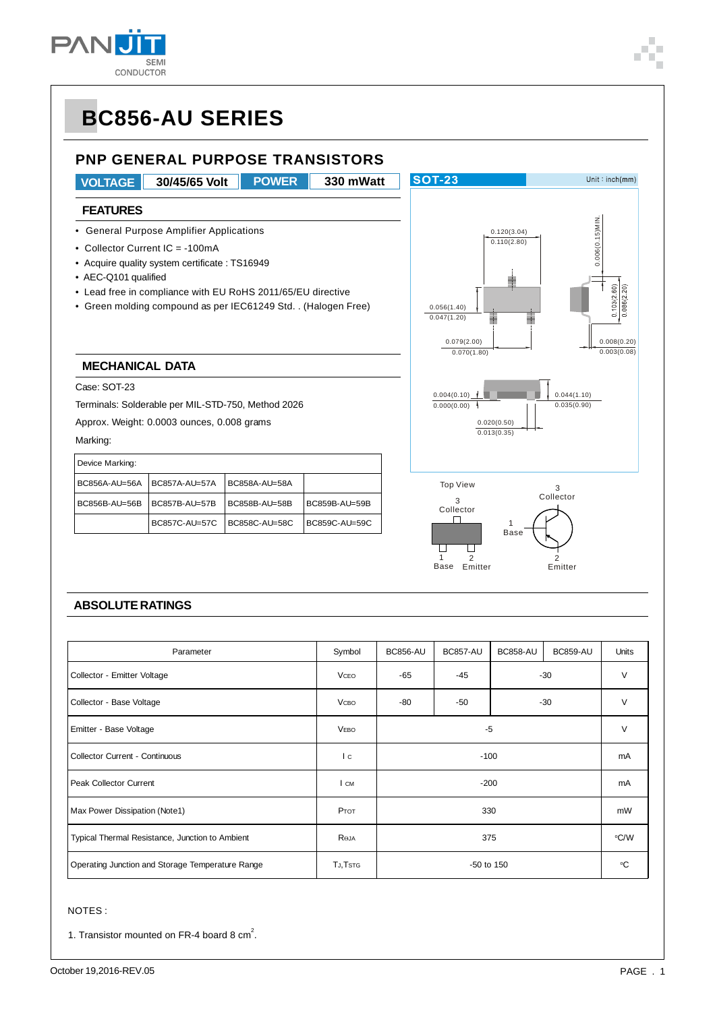

Unit:  $inch(mm)$ 

# **BC856-AU SERIES**

#### **PNP GENERAL PURPOSE TRANSISTORS**

**VOLTAGE 30/45/65 Volt 330 mWatt POWER**

**SOT-23** 

#### **FEATURES**

- General Purpose Amplifier Applications
- Collector Current IC = -100mA
- Acquire quality system certificate : TS16949
- AEC-Q101 qualified
- Lead free in compliance with EU RoHS 2011/65/EU directive
- Green molding compound as per IEC61249 Std. . (Halogen Free)

#### **MECHANICAL DATA**

Case: SOT-23

Terminals: Solderable per MIL-STD-750, Method 2026

Approx. Weight: 0.0003 ounces, 0.008 grams

#### Marking:

| Device Marking: |               |               |               |  |  |  |
|-----------------|---------------|---------------|---------------|--|--|--|
| BC856A-AU=56A   | BC857A-AU=57A | BC858A-AU=58A |               |  |  |  |
| BC856B-AU=56B   | BC857B-AU=57B | BC858B-AU=58B | BC859B-AU=59B |  |  |  |
|                 | BC857C-AU=57C | BC858C-AU=58C | BC859C-AU=59C |  |  |  |







#### **ABSOLUTE RATINGS**

| Parameter                                        | Symbol       | <b>BC856-AU</b> | <b>BC857-AU</b> | <b>BC858-AU</b> | <b>BC859-AU</b> | Units |  |   |
|--------------------------------------------------|--------------|-----------------|-----------------|-----------------|-----------------|-------|--|---|
| Collector - Emitter Voltage                      | <b>VCEO</b>  | -65             | $-45$           | -30             |                 | V     |  |   |
| Collector - Base Voltage                         | <b>V</b> сво | -80             | -50             | $-30$           |                 |       |  | V |
| Emitter - Base Voltage                           | <b>VEBO</b>  | -5              |                 |                 | V               |       |  |   |
| <b>Collector Current - Continuous</b>            | I c          | $-100$          |                 |                 | mA              |       |  |   |
| <b>Peak Collector Current</b>                    | I CM         | $-200$          |                 | mA              |                 |       |  |   |
| Max Power Dissipation (Note1)                    | Ртот         | 330             |                 | mW              |                 |       |  |   |
| Typical Thermal Resistance, Junction to Ambient  | ROJA         | 375             |                 | °C/W            |                 |       |  |   |
| Operating Junction and Storage Temperature Range | TJ, TSTG     | -50 to 150      |                 |                 | °C              |       |  |   |

#### NOTES :

1. Transistor mounted on FR-4 board 8  $cm<sup>2</sup>$ .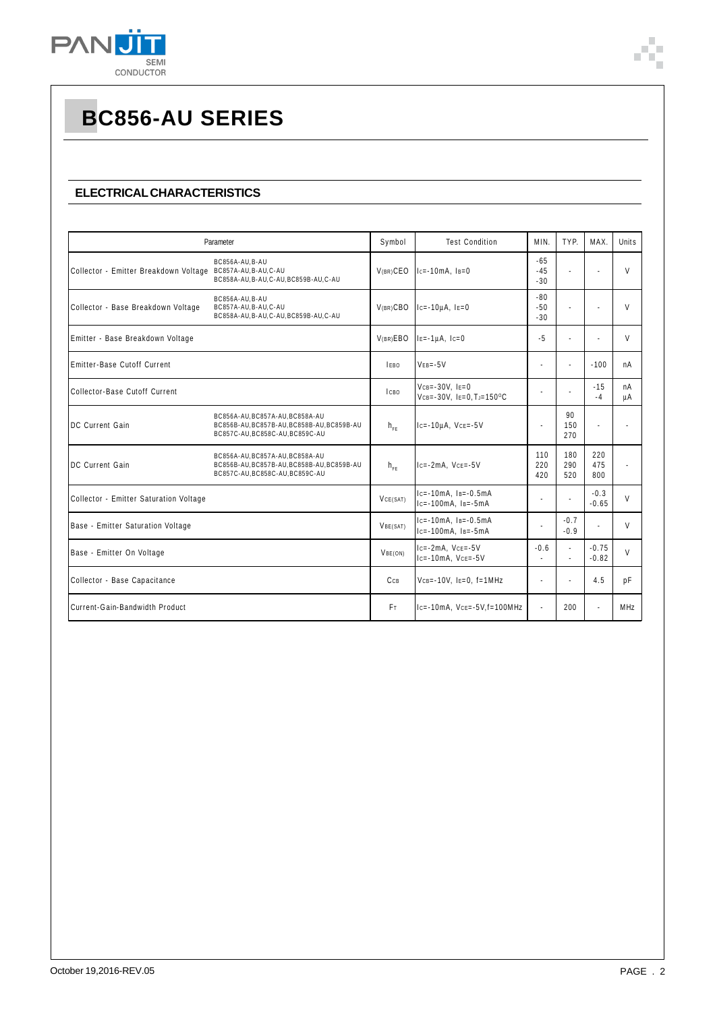

#### **ELECTRICAL CHARACTERISTICS**

| Parameter                                                 |                                                                                                                  | Symbol         | <b>Test Condition</b>                                                  | MIN.                    | TYP.                           | MAX.               | Units    |
|-----------------------------------------------------------|------------------------------------------------------------------------------------------------------------------|----------------|------------------------------------------------------------------------|-------------------------|--------------------------------|--------------------|----------|
| Collector - Emitter Breakdown Voltage BC857A-AU,B-AU,C-AU | BC856A-AU.B-AU<br>BC858A-AU, B-AU, C-AU, BC859B-AU, C-AU                                                         | $V(BR)$ CEO    | $-65$<br>$1c = -10mA$ , $1B = 0$<br>$-45$<br>$-30$                     |                         | ÷.                             |                    | $\vee$   |
| Collector - Base Breakdown Voltage                        | BC856A-AU, B-AU<br>BC857A-AU, B-AU, C-AU<br>BC858A-AU, B-AU, C-AU, BC859B-AU, C-AU                               | $V(BR)$ CBO    | $lc= -10\mu A$ , $le=0$                                                | $-80$<br>$-50$<br>$-30$ | ä,                             |                    | $\vee$   |
| Emitter - Base Breakdown Voltage                          |                                                                                                                  | V(BR)EBO       | $I = -1 \mu A$ , $I = 0$                                               | $-5$                    | ÷                              |                    | V        |
| Emitter-Base Cutoff Current                               |                                                                                                                  | IFBO           | $VEB = -5V$                                                            |                         | ÷.                             | $-100$             | nA       |
| Collector-Base Cutoff Current                             |                                                                                                                  | Ісво           | $VCB = -30V$ , $IE = 0$<br>$VCB = -30V$ , $I = 0$ , $T = 150^{\circ}C$ |                         |                                | $-15$<br>$-4$      | nA<br>μA |
| DC Current Gain                                           | BC856A-AU, BC857A-AU, BC858A-AU<br>BC856B-AU, BC857B-AU, BC858B-AU, BC859B-AU<br>BC857C-AU, BC858C-AU, BC859C-AU | $h_{FF}$       | $lc = -10\mu A$ , $Vce = -5V$                                          | $\blacksquare$          | 90<br>150<br>270               |                    |          |
| DC Current Gain                                           | BC856A-AU.BC857A-AU.BC858A-AU<br>BC856B-AU, BC857B-AU, BC858B-AU, BC859B-AU<br>BC857C-AU, BC858C-AU, BC859C-AU   | $h_{\rm eff}$  | $lc = -2mA$ , $Vce = -5V$                                              | 110<br>220<br>420       | 180<br>290<br>520              | 220<br>475<br>800  |          |
| Collector - Emitter Saturation Voltage                    |                                                                                                                  | VCE(SAT)       | $lc = -10mA$ , $ls = -0.5mA$<br>$lc = -100mA$ . $ls = -5mA$            |                         | ÷.                             | $-0.3$<br>$-0.65$  | V        |
| Base - Emitter Saturation Voltage                         |                                                                                                                  | VBE(SAT)       | $lc = -10mA$ , $ls = -0.5mA$<br>$lc = -100mA$ , $ls = -5mA$            |                         | $-0.7$<br>$-0.9$               |                    | V        |
| Base - Emitter On Voltage                                 |                                                                                                                  | VBE(ON)        | $lc = -2mA$ , $Vce = -5V$<br>$lc = -10mA$ , $Vce = -5V$                | $-0.6$                  | $\blacksquare$<br>$\mathbf{r}$ | $-0.75$<br>$-0.82$ | V        |
| Collector - Base Capacitance                              |                                                                                                                  | CCB            | $VCB = -10V$ , $I = 0$ , $f = 1MHz$                                    |                         | ÷.                             | 4.5                | pF       |
| Current-Gain-Bandwidth Product                            |                                                                                                                  | F <sub>T</sub> | $lc = -10mA$ , $Vce = -5V$ , $f = 100MHz$                              |                         | 200                            |                    | MHz      |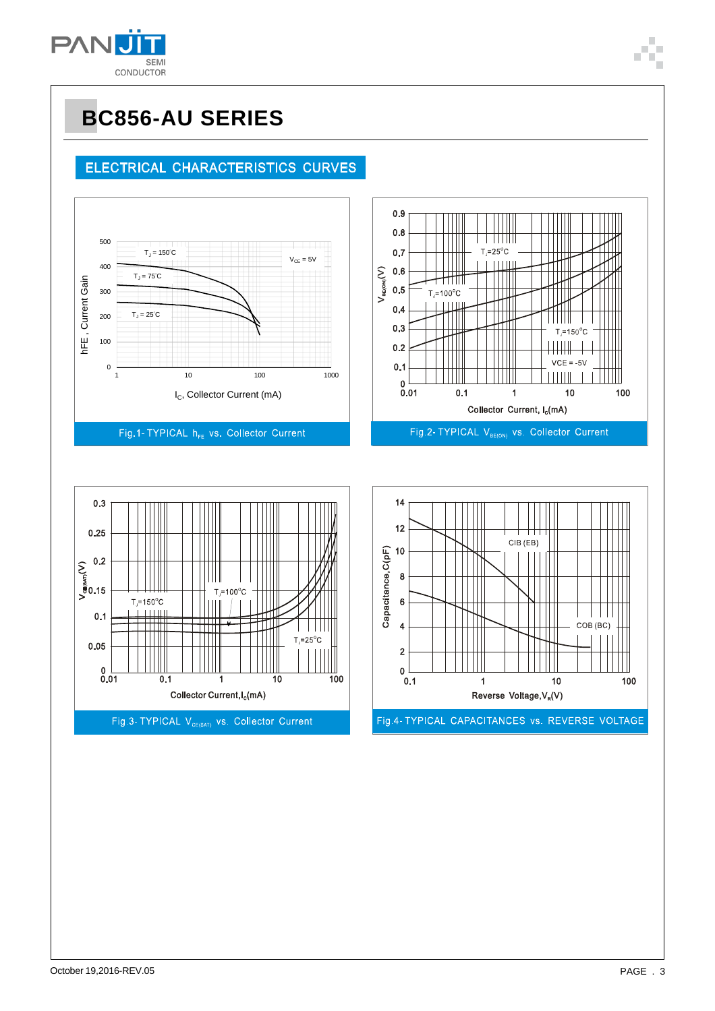

### ELECTRICAL CHARACTERISTICS CURVES







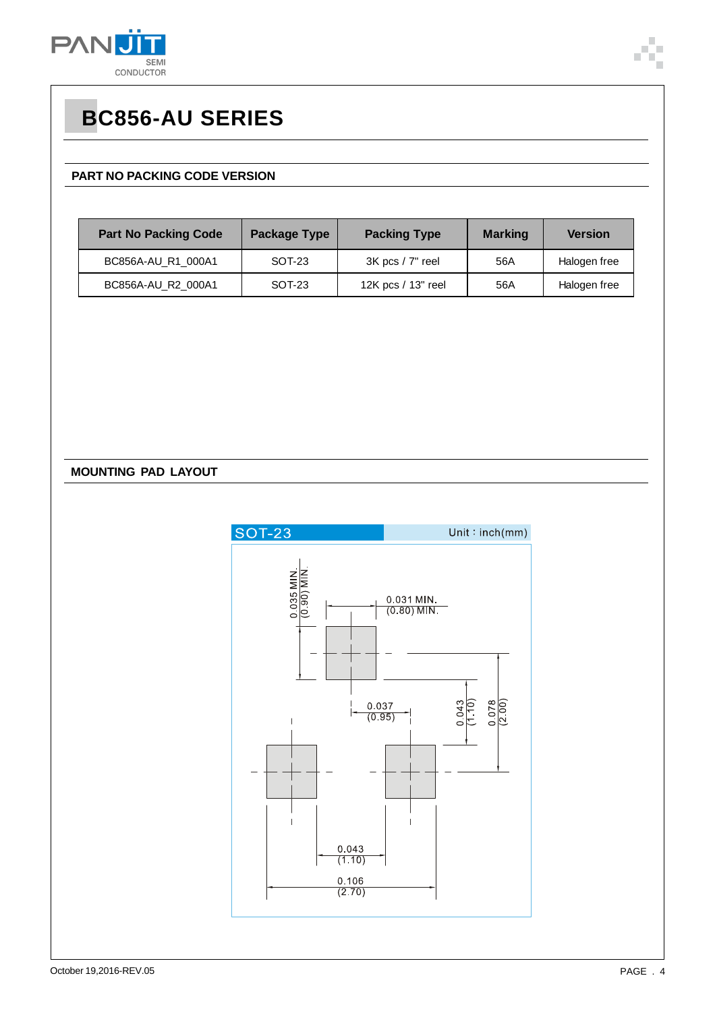

#### **PART NO PACKING CODE VERSION**

| <b>Part No Packing Code</b> | Package Type | <b>Packing Type</b>  | <b>Marking</b> | <b>Version</b> |
|-----------------------------|--------------|----------------------|----------------|----------------|
| BC856A-AU R1 000A1          | SOT-23       | $3K$ pcs $/7$ " reel | 56A            | Halogen free   |
| BC856A-AU_R2_000A1          | SOT-23       | 12K pcs / 13" reel   | 56A            | Halogen free   |

#### **MOUNTING PAD LAYOUT**